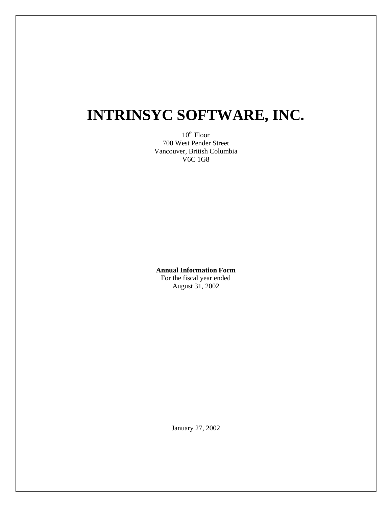# **INTRINSYC SOFTWARE, INC.**

 $10^{th}$  Floor 700 West Pender Street Vancouver, British Columbia V6C 1G8

**Annual Information Form** For the fiscal year ended August 31, 2002

January 27, 2002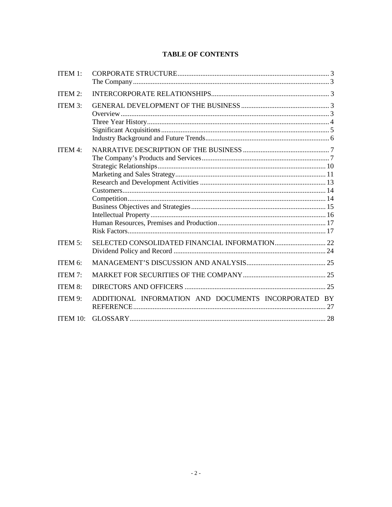# **TABLE OF CONTENTS**

| ITEM 1:        |                                                      |  |
|----------------|------------------------------------------------------|--|
| ITEM 2:        |                                                      |  |
| <b>ITEM 3:</b> |                                                      |  |
| <b>ITEM 4:</b> |                                                      |  |
| ITEM 5:        |                                                      |  |
| ITEM 6:        |                                                      |  |
| <b>ITEM 7:</b> |                                                      |  |
| <b>ITEM 8:</b> |                                                      |  |
| ITEM 9:        | ADDITIONAL INFORMATION AND DOCUMENTS INCORPORATED BY |  |
| ITEM 10:       |                                                      |  |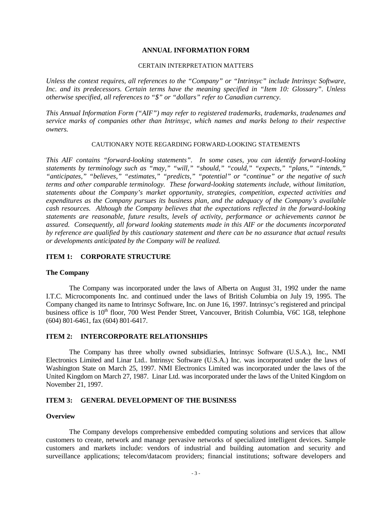#### **ANNUAL INFORMATION FORM**

#### CERTAIN INTERPRETATION MATTERS

*Unless the context requires, all references to the "Company" or "Intrinsyc" include Intrinsyc Software, Inc. and its predecessors. Certain terms have the meaning specified in "Item 10: Glossary". Unless otherwise specified, all references to "\$" or "dollars" refer to Canadian currency.*

*This Annual Information Form ("AIF") may refer to registered trademarks, trademarks, tradenames and service marks of companies other than Intrinsyc, which names and marks belong to their respective owners.*

#### CAUTIONARY NOTE REGARDING FORWARD-LOOKING STATEMENTS

*This AIF contains "forward-looking statements". In some cases, you can identify forward-looking statements by terminology such as "may," "will," "should," "could," "expects," "plans," "intends," "anticipates," "believes," "estimates," "predicts," "potential" or "continue" or the negative of such terms and other comparable terminology. These forward-looking statements include, without limitation, statements about the Company's market opportunity, strategies, competition, expected activities and expenditures as the Company pursues its business plan, and the adequacy of the Company's available cash resources. Although the Company believes that the expectations reflected in the forward-looking statements are reasonable, future results, levels of activity, performance or achievements cannot be assured. Consequently, all forward looking statements made in this AIF or the documents incorporated by reference are qualified by this cautionary statement and there can be no assurance that actual results or developments anticipated by the Company will be realized.*

# **ITEM 1: CORPORATE STRUCTURE**

#### **The Company**

The Company was incorporated under the laws of Alberta on August 31, 1992 under the name I.T.C. Microcomponents Inc. and continued under the laws of British Columbia on July 19, 1995. The Company changed its name to Intrinsyc Software, Inc. on June 16, 1997. Intrinsyc's registered and principal business office is 10<sup>th</sup> floor, 700 West Pender Street, Vancouver, British Columbia, V6C 1G8, telephone (604) 801-6461, fax (604) 801-6417.

#### **ITEM 2: INTERCORPORATE RELATIONSHIPS**

The Company has three wholly owned subsidiaries, Intrinsyc Software (U.S.A.), Inc., NMI Electronics Limited and Linar Ltd.. Intrinsyc Software (U.S.A.) Inc. was incorporated under the laws of Washington State on March 25, 1997. NMI Electronics Limited was incorporated under the laws of the United Kingdom on March 27, 1987. Linar Ltd. was incorporated under the laws of the United Kingdom on November 21, 1997.

#### **ITEM 3: GENERAL DEVELOPMENT OF THE BUSINESS**

#### **Overview**

The Company develops comprehensive embedded computing solutions and services that allow customers to create, network and manage pervasive networks of specialized intelligent devices. Sample customers and markets include: vendors of industrial and building automation and security and surveillance applications; telecom/datacom providers; financial institutions; software developers and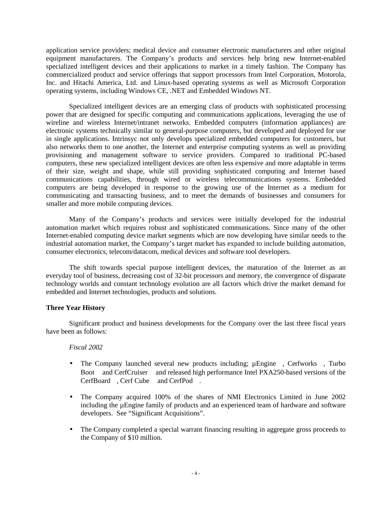application service providers; medical device and consumer electronic manufacturers and other original equipment manufacturers. The Company's products and services help bring new Internet-enabled specialized intelligent devices and their applications to market in a timely fashion. The Company has commercialized product and service offerings that support processors from Intel Corporation, Motorola, Inc. and Hitachi America, Ltd. and Linux-based operating systems as well as Microsoft Corporation operating systems, including Windows CE, .NET and Embedded Windows NT.

Specialized intelligent devices are an emerging class of products with sophisticated processing power that are designed for specific computing and communications applications, leveraging the use of wireline and wireless Internet/intranet networks. Embedded computers (information appliances) are electronic systems technically similar to general-purpose computers, but developed and deployed for use in single applications. Intrinsyc not only develops specialized embedded computers for customers, but also networks them to one another, the Internet and enterprise computing systems as well as providing provisioning and management software to service providers. Compared to traditional PC-based computers, these new specialized intelligent devices are often less expensive and more adaptable in terms of their size, weight and shape, while still providing sophisticated computing and Internet based communications capabilities, through wired or wireless telecommunications systems. Embedded computers are being developed in response to the growing use of the Internet as a medium for communicating and transacting business, and to meet the demands of businesses and consumers for smaller and more mobile computing devices.

Many of the Company's products and services were initially developed for the industrial automation market which requires robust and sophisticated communications. Since many of the other Internet-enabled computing device market segments which are now developing have similar needs to the industrial automation market, the Company's target market has expanded to include building automation, consumer electronics, telecom/datacom, medical devices and software tool developers.

The shift towards special purpose intelligent devices, the maturation of the Internet as an everyday tool of business, decreasing cost of 32-bit processors and memory, the convergence of disparate technology worlds and constant technology evolution are all factors which drive the market demand for embedded and Internet technologies, products and solutions.

# **Three Year History**

Significant product and business developments for the Company over the last three fiscal years have been as follows:

# *Fiscal 2002*

- The Company launched several new products including;  $\mu$ Engine<sup>TM</sup>, Cerfworks<sup>TM</sup>, Turbo Boot™ and CerfCruiser<sup>™</sup> and released high performance Intel PXA250-based versions of the CerfBoard<sup>TM</sup>, Cerf Cube<sup>TM</sup> and CerfPod<sup>TM</sup>.
- The Company acquired 100% of the shares of NMI Electronics Limited in June 2002 including the µEngine family of products and an experienced team of hardware and software developers. See "Significant Acquisitions".
- The Company completed a special warrant financing resulting in aggregate gross proceeds to the Company of \$10 million.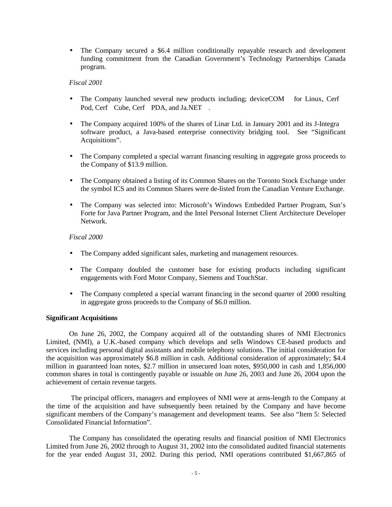• The Company secured a \$6.4 million conditionally repayable research and development funding commitment from the Canadian Government's Technology Partnerships Canada program.

#### *Fiscal 2001*

- The Company launched several new products including; deviceCOM<sup>TM</sup> for Linux, Cerf<sup>TM</sup> Pod, Cerf<sup>TM</sup>Cube, Cerf<sup>TM</sup>PDA, and Ja.NET<sup>TM</sup>.
- The Company acquired 100% of the shares of Linar Ltd. in January 2001 and its J-Integra<sup>TM</sup> software product, a Java-based enterprise connectivity bridging tool. See "Significant Acquisitions".
- The Company completed a special warrant financing resulting in aggregate gross proceeds to the Company of \$13.9 million.
- The Company obtained a listing of its Common Shares on the Toronto Stock Exchange under the symbol ICS and its Common Shares were de-listed from the Canadian Venture Exchange.
- The Company was selected into: Microsoft's Windows Embedded Partner Program, Sun's Forte for Java Partner Program, and the Intel Personal Internet Client Architecture Developer Network.

#### *Fiscal 2000*

- The Company added significant sales, marketing and management resources.
- The Company doubled the customer base for existing products including significant engagements with Ford Motor Company, Siemens and TouchStar.
- The Company completed a special warrant financing in the second quarter of 2000 resulting in aggregate gross proceeds to the Company of \$6.0 million.

#### **Significant Acquisitions**

On June 26, 2002, the Company acquired all of the outstanding shares of NMI Electronics Limited, (NMI), a U.K.-based company which develops and sells Windows CE-based products and services including personal digital assistants and mobile telephony solutions. The initial consideration for the acquisition was approximately \$6.8 million in cash. Additional consideration of approximately; \$4.4 million in guaranteed loan notes, \$2.7 million in unsecured loan notes, \$950,000 in cash and 1,856,000 common shares in total is contingently payable or issuable on June 26, 2003 and June 26, 2004 upon the achievement of certain revenue targets.

 The principal officers, managers and employees of NMI were at arms-length to the Company at the time of the acquisition and have subsequently been retained by the Company and have become significant members of the Company's management and development teams. See also "Item 5: Selected Consolidated Financial Information".

The Company has consolidated the operating results and financial position of NMI Electronics Limited from June 26, 2002 through to August 31, 2002 into the consolidated audited financial statements for the year ended August 31, 2002. During this period, NMI operations contributed \$1,667,865 of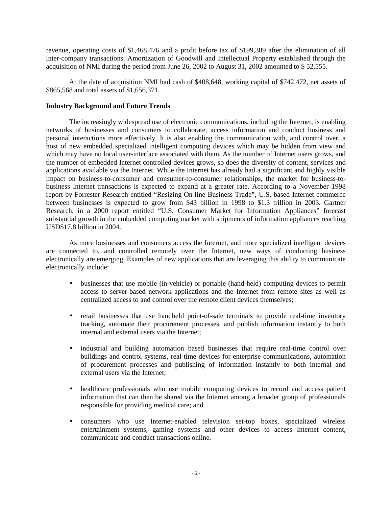revenue, operating costs of \$1,468,476 and a profit before tax of \$199,389 after the elimination of all inter-company transactions. Amortization of Goodwill and Intellectual Property established through the acquisition of NMI during the period from June 26, 2002 to August 31, 2002 amounted to \$ 52,555.

At the date of acquisition NMI had cash of \$408,648, working capital of \$742,472, net assets of \$865,568 and total assets of \$1,656,371.

#### **Industry Background and Future Trends**

The increasingly widespread use of electronic communications, including the Internet, is enabling networks of businesses and consumers to collaborate, access information and conduct business and personal interactions more effectively. It is also enabling the communication with, and control over, a host of new embedded specialized intelligent computing devices which may be hidden from view and which may have no local user-interface associated with them. As the number of Internet users grows, and the number of embedded Internet controlled devices grows, so does the diversity of content, services and applications available via the Internet. While the Internet has already had a significant and highly visible impact on business-to-consumer and consumer-to-consumer relationships, the market for business-tobusiness Internet transactions is expected to expand at a greater rate. According to a November 1998 report by Forrester Research entitled "Resizing On-line Business Trade", U.S. based Internet commerce between businesses is expected to grow from \$43 billion in 1998 to \$1.3 trillion in 2003. Gartner Research, in a 2000 report entitled "U.S. Consumer Market for Information Appliances" forecast substantial growth in the embedded computing market with shipments of information appliances reaching USD\$17.8 billion in 2004.

As more businesses and consumers access the Internet, and more specialized intelligent devices are connected to, and controlled remotely over the Internet, new ways of conducting business electronically are emerging. Examples of new applications that are leveraging this ability to communicate electronically include:

- businesses that use mobile (in-vehicle) or portable (hand-held) computing devices to permit access to server-based network applications and the Internet from remote sites as well as centralized access to and control over the remote client devices themselves;
- retail businesses that use handheld point-of-sale terminals to provide real-time inventory tracking, automate their procurement processes, and publish information instantly to both internal and external users via the Internet;
- industrial and building automation based businesses that require real-time control over buildings and control systems, real-time devices for enterprise communications, automation of procurement processes and publishing of information instantly to both internal and external users via the Internet;
- healthcare professionals who use mobile computing devices to record and access patient information that can then be shared via the Internet among a broader group of professionals responsible for providing medical care; and
- consumers who use Internet-enabled television set-top boxes, specialized wireless entertainment systems, gaming systems and other devices to access Internet content, communicate and conduct transactions online.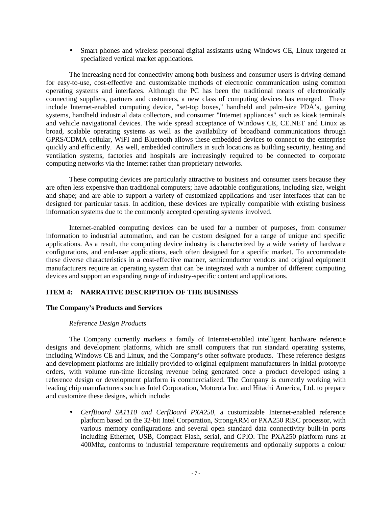• Smart phones and wireless personal digital assistants using Windows CE, Linux targeted at specialized vertical market applications.

The increasing need for connectivity among both business and consumer users is driving demand for easy-to-use, cost-effective and customizable methods of electronic communication using common operating systems and interfaces. Although the PC has been the traditional means of electronically connecting suppliers, partners and customers, a new class of computing devices has emerged. These include Internet-enabled computing device, "set-top boxes," handheld and palm-size PDA's, gaming systems, handheld industrial data collectors, and consumer "Internet appliances" such as kiosk terminals and vehicle navigational devices. The wide spread acceptance of Windows CE, CE.NET and Linux as broad, scalable operating systems as well as the availability of broadband communications through GPRS/CDMA cellular, WiFI and Bluetooth allows these embedded devices to connect to the enterprise quickly and efficiently. As well, embedded controllers in such locations as building security, heating and ventilation systems, factories and hospitals are increasingly required to be connected to corporate computing networks via the Internet rather than proprietary networks.

These computing devices are particularly attractive to business and consumer users because they are often less expensive than traditional computers; have adaptable configurations, including size, weight and shape; and are able to support a variety of customized applications and user interfaces that can be designed for particular tasks. In addition, these devices are typically compatible with existing business information systems due to the commonly accepted operating systems involved.

Internet-enabled computing devices can be used for a number of purposes, from consumer information to industrial automation, and can be custom designed for a range of unique and specific applications. As a result, the computing device industry is characterized by a wide variety of hardware configurations, and end-user applications, each often designed for a specific market. To accommodate these diverse characteristics in a cost-effective manner, semiconductor vendors and original equipment manufacturers require an operating system that can be integrated with a number of different computing devices and support an expanding range of industry-specific content and applications.

# **ITEM 4: NARRATIVE DESCRIPTION OF THE BUSINESS**

# **The Company's Products and Services**

# *Reference Design Products*

The Company currently markets a family of Internet-enabled intelligent hardware reference designs and development platforms, which are small computers that run standard operating systems, including Windows CE and Linux, and the Company's other software products. These reference designs and development platforms are initially provided to original equipment manufacturers in initial prototype orders, with volume run-time licensing revenue being generated once a product developed using a reference design or development platform is commercialized. The Company is currently working with leading chip manufacturers such as Intel Corporation, Motorola Inc. and Hitachi America, Ltd. to prepare and customize these designs, which include:

• *CerfBoard SA1110 and CerfBoard PXA250*, a customizable Internet-enabled reference platform based on the 32-bit Intel Corporation, StrongARM or PXA250 RISC processor, with various memory configurations and several open standard data connectivity built-in ports including Ethernet, USB, Compact Flash, serial, and GPIO. The PXA250 platform runs at 400Mhz**,** conforms to industrial temperature requirements and optionally supports a colour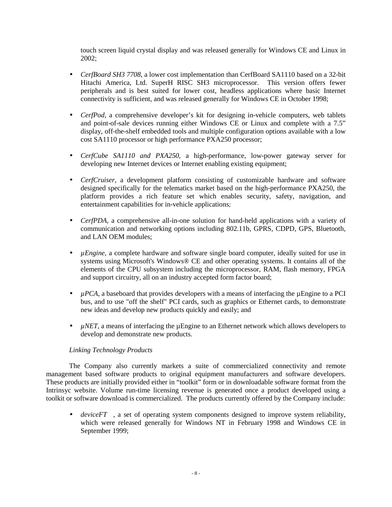touch screen liquid crystal display and was released generally for Windows CE and Linux in 2002;

- *CerfBoard SH3 7708*, a lower cost implementation than CerfBoard SA1110 based on a 32-bit Hitachi America, Ltd. SuperH RISC SH3 microprocessor. This version offers fewer peripherals and is best suited for lower cost, headless applications where basic Internet connectivity is sufficient, and was released generally for Windows CE in October 1998;
- *CerfPod,* a comprehensive developer's kit for designing in-vehicle computers, web tablets and point-of-sale devices running either Windows CE or Linux and complete with a 7.5" display, off-the-shelf embedded tools and multiple configuration options available with a low cost SA1110 processor or high performance PXA250 processor;
- *CerfCube SA1110 and PXA250,* a high-performance, low-power gateway server for developing new Internet devices or Internet enabling existing equipment;
- *CerfCruiser,* a development platform consisting of customizable hardware and software designed specifically for the telematics market based on the high-performance PXA250, the platform provides a rich feature set which enables security, safety, navigation, and entertainment capabilities for in-vehicle applications;
- *CerfPDA,* a comprehensive all-in-one solution for hand-held applications with a variety of communication and networking options including 802.11b, GPRS, CDPD, GPS, Bluetooth, and LAN OEM modules;
- *µEngine*, a complete hardware and software single board computer, ideally suited for use in systems using Microsoft's Windows® CE and other operating systems. It contains all of the elements of the CPU subsystem including the microprocessor, RAM, flash memory, FPGA and support circuitry, all on an industry accepted form factor board;
- *µPCA*, a baseboard that provides developers with a means of interfacing the *µEngine* to a PCI bus, and to use "off the shelf" PCI cards, such as graphics or Ethernet cards, to demonstrate new ideas and develop new products quickly and easily; and
- *µNET*, a means of interfacing the µEngine to an Ethernet network which allows developers to develop and demonstrate new products.

# *Linking Technology Products*

The Company also currently markets a suite of commercialized connectivity and remote management based software products to original equipment manufacturers and software developers. These products are initially provided either in "toolkit" form or in downloadable software format from the Intrinsyc website. Volume run-time licensing revenue is generated once a product developed using a toolkit or software download is commercialized. The products currently offered by the Company include:

• *deviceFT<sup>IM</sup>*, a set of operating system components designed to improve system reliability, which were released generally for Windows NT in February 1998 and Windows CE in September 1999;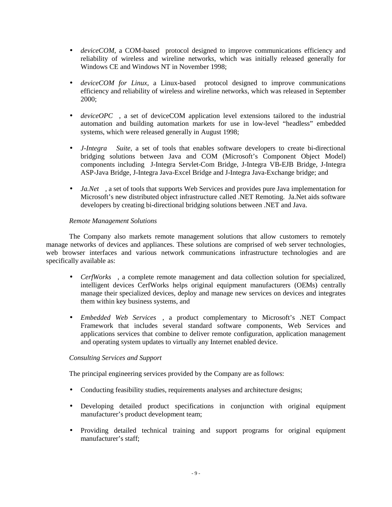- *deviceCOM*, a COM-based protocol designed to improve communications efficiency and reliability of wireless and wireline networks, which was initially released generally for Windows CE and Windows NT in November 1998;
- *deviceCOM for Linux*, a Linux-based protocol designed to improve communications efficiency and reliability of wireless and wireline networks, which was released in September 2000;
- *deviceOPC*<sup>™</sup>, a set of deviceCOM application level extensions tailored to the industrial automation and building automation markets for use in low-level "headless" embedded systems, which were released generally in August 1998;
- *J-Integra*<sup>TM</sup> Suite, a set of tools that enables software developers to create bi-directional bridging solutions between Java and COM (Microsoft's Component Object Model) components including J-Integra Servlet-Com Bridge, J-Integra VB-EJB Bridge, J-Integra ASP-Java Bridge, J-Integra Java-Excel Bridge and J-Integra Java-Exchange bridge; and
- *Ja.Net*<sup> $M$ </sup>, a set of tools that supports Web Services and provides pure Java implementation for Microsoft's new distributed object infrastructure called .NET Remoting. Ja.Net aids software developers by creating bi-directional bridging solutions between .NET and Java.

# *Remote Management Solutions*

The Company also markets remote management solutions that allow customers to remotely manage networks of devices and appliances. These solutions are comprised of web server technologies, web browser interfaces and various network communications infrastructure technologies and are specifically available as:

- *CerfWorks*<sup>TM</sup>, a complete remote management and data collection solution for specialized, intelligent devices CerfWorks helps original equipment manufacturers (OEMs) centrally manage their specialized devices, deploy and manage new services on devices and integrates them within key business systems, and
- *Embedded Web Services*, a product complementary to Microsoft's .NET Compact Framework that includes several standard software components, Web Services and applications services that combine to deliver remote configuration, application management and operating system updates to virtually any Internet enabled device.

# *Consulting Services and Support*

The principal engineering services provided by the Company are as follows:

- Conducting feasibility studies, requirements analyses and architecture designs;
- Developing detailed product specifications in conjunction with original equipment manufacturer's product development team;
- Providing detailed technical training and support programs for original equipment manufacturer's staff;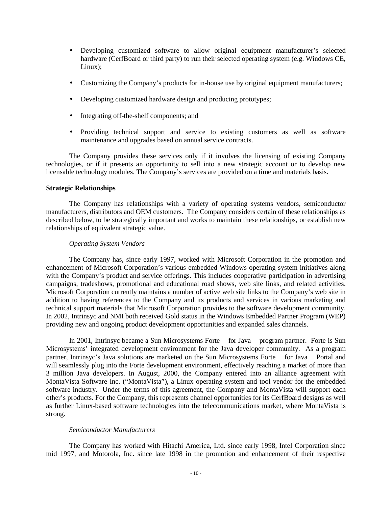- Developing customized software to allow original equipment manufacturer's selected hardware (CerfBoard or third party) to run their selected operating system (e.g. Windows CE, Linux);
- Customizing the Company's products for in-house use by original equipment manufacturers;
- Developing customized hardware design and producing prototypes;
- Integrating off-the-shelf components; and
- Providing technical support and service to existing customers as well as software maintenance and upgrades based on annual service contracts.

The Company provides these services only if it involves the licensing of existing Company technologies, or if it presents an opportunity to sell into a new strategic account or to develop new licensable technology modules. The Company's services are provided on a time and materials basis.

#### **Strategic Relationships**

The Company has relationships with a variety of operating systems vendors, semiconductor manufacturers, distributors and OEM customers. The Company considers certain of these relationships as described below, to be strategically important and works to maintain these relationships, or establish new relationships of equivalent strategic value.

#### *Operating System Vendors*

The Company has, since early 1997, worked with Microsoft Corporation in the promotion and enhancement of Microsoft Corporation's various embedded Windows operating system initiatives along with the Company's product and service offerings. This includes cooperative participation in advertising campaigns, tradeshows, promotional and educational road shows, web site links, and related activities. Microsoft Corporation currently maintains a number of active web site links to the Company's web site in addition to having references to the Company and its products and services in various marketing and technical support materials that Microsoft Corporation provides to the software development community. In 2002, Intrinsyc and NMI both received Gold status in the Windows Embedded Partner Program (WEP) providing new and ongoing product development opportunities and expanded sales channels.

In 2001, Intrinsyc became a Sun Microsystems Forte<sup>TM</sup> for Java<sup>TM</sup> program partner. Forte is Sun Microsystems' integrated development environment for the Java developer community. As a program partner, Intrinsyc's Java solutions are marketed on the Sun Microsystems Forte<sup>TM</sup> for Java<sup>TM</sup> Portal and will seamlessly plug into the Forte development environment, effectively reaching a market of more than 3 million Java developers. In August, 2000, the Company entered into an alliance agreement with MontaVista Software Inc. ("MontaVista"), a Linux operating system and tool vendor for the embedded software industry. Under the terms of this agreement, the Company and MontaVista will support each other's products. For the Company, this represents channel opportunities for its CerfBoard designs as well as further Linux-based software technologies into the telecommunications market, where MontaVista is strong.

#### *Semiconductor Manufacturers*

The Company has worked with Hitachi America, Ltd. since early 1998, Intel Corporation since mid 1997, and Motorola, Inc. since late 1998 in the promotion and enhancement of their respective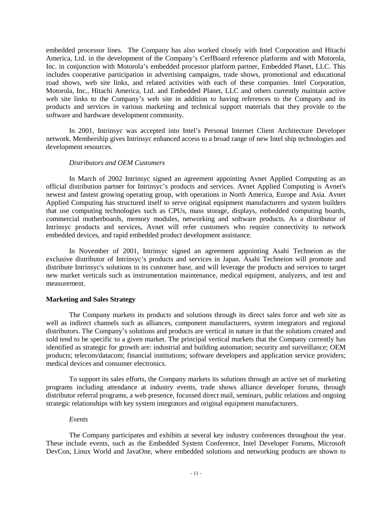embedded processor lines. The Company has also worked closely with Intel Corporation and Hitachi America, Ltd. in the development of the Company's CerfBoard reference platforms and with Motorola, Inc. in conjunction with Motorola's embedded processor platform partner, Embedded Planet, LLC. This includes cooperative participation in advertising campaigns, trade shows, promotional and educational road shows, web site links, and related activities with each of these companies. Intel Corporation, Motorola, Inc., Hitachi America, Ltd. and Embedded Planet, LLC and others currently maintain active web site links to the Company's web site in addition to having references to the Company and its products and services in various marketing and technical support materials that they provide to the software and hardware development community.

In 2001, Intrinsyc was accepted into Intel's Personal Internet Client Architecture Developer network. Membership gives Intrinsyc enhanced access to a broad range of new Intel ship technologies and development resources.

#### *Distributors and OEM Customers*

In March of 2002 Intrinsyc signed an agreement appointing Avnet Applied Computing as an official distribution partner for Intrinsyc's products and services. Avnet Applied Computing is Avnet's newest and fastest growing operating group, with operations in North America, Europe and Asia. Avnet Applied Computing has structured itself to serve original equipment manufacturers and system builders that use computing technologies such as CPUs, mass storage, displays, embedded computing boards, commercial motherboards, memory modules, networking and software products. As a distributor of Intrinsyc products and services, Avnet will refer customers who require connectivity to network embedded devices, and rapid embedded product development assistance.

In November of 2001, Intrinsyc signed an agreement appointing Asahi Techneion as the exclusive distributor of Intrinsyc's products and services in Japan. Asahi Techneion will promote and distribute Intrinsyc's solutions to its customer base, and will leverage the products and services to target new market verticals such as instrumentation maintenance, medical equipment, analyzers, and test and measurement.

# **Marketing and Sales Strategy**

The Company markets its products and solutions through its direct sales force and web site as well as indirect channels such as alliances, component manufacturers, system integrators and regional distributors. The Company's solutions and products are vertical in nature in that the solutions created and sold tend to be specific to a given market. The principal vertical markets that the Company currently has identified as strategic for growth are: industrial and building automation; security and surveillance; OEM products; telecom/datacom; financial institutions; software developers and application service providers; medical devices and consumer electronics.

To support its sales efforts, the Company markets its solutions through an active set of marketing programs including attendance at industry events, trade shows alliance developer forums, through distributor referral programs, a web presence, focussed direct mail, seminars, public relations and ongoing strategic relationships with key system integrators and original equipment manufacturers.

#### *Events*

The Company participates and exhibits at several key industry conferences throughout the year. These include events, such as the Embedded System Conference, Intel Developer Forums, Microsoft DevCon, Linux World and JavaOne, where embedded solutions and networking products are shown to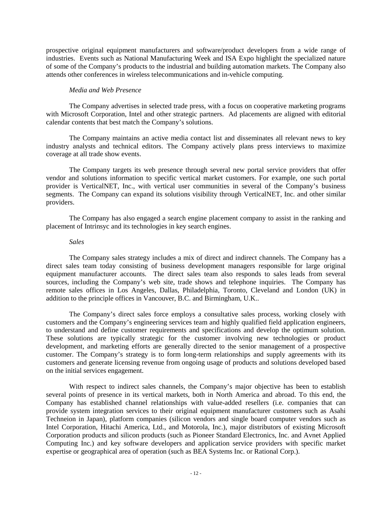prospective original equipment manufacturers and software/product developers from a wide range of industries. Events such as National Manufacturing Week and ISA Expo highlight the specialized nature of some of the Company's products to the industrial and building automation markets. The Company also attends other conferences in wireless telecommunications and in-vehicle computing.

#### *Media and Web Presence*

The Company advertises in selected trade press, with a focus on cooperative marketing programs with Microsoft Corporation, Intel and other strategic partners. Ad placements are aligned with editorial calendar contents that best match the Company's solutions.

The Company maintains an active media contact list and disseminates all relevant news to key industry analysts and technical editors. The Company actively plans press interviews to maximize coverage at all trade show events.

The Company targets its web presence through several new portal service providers that offer vendor and solutions information to specific vertical market customers. For example, one such portal provider is VerticalNET, Inc., with vertical user communities in several of the Company's business segments. The Company can expand its solutions visibility through VerticalNET, Inc. and other similar providers.

The Company has also engaged a search engine placement company to assist in the ranking and placement of Intrinsyc and its technologies in key search engines.

#### *Sales*

The Company sales strategy includes a mix of direct and indirect channels. The Company has a direct sales team today consisting of business development managers responsible for large original equipment manufacturer accounts. The direct sales team also responds to sales leads from several sources, including the Company's web site, trade shows and telephone inquiries. The Company has remote sales offices in Los Angeles, Dallas, Philadelphia, Toronto, Cleveland and London (UK) in addition to the principle offices in Vancouver, B.C. and Birmingham, U.K..

The Company's direct sales force employs a consultative sales process, working closely with customers and the Company's engineering services team and highly qualified field application engineers, to understand and define customer requirements and specifications and develop the optimum solution. These solutions are typically strategic for the customer involving new technologies or product development, and marketing efforts are generally directed to the senior management of a prospective customer. The Company's strategy is to form long-term relationships and supply agreements with its customers and generate licensing revenue from ongoing usage of products and solutions developed based on the initial services engagement.

With respect to indirect sales channels, the Company's major objective has been to establish several points of presence in its vertical markets, both in North America and abroad. To this end, the Company has established channel relationships with value-added resellers (i.e. companies that can provide system integration services to their original equipment manufacturer customers such as Asahi Techneion in Japan), platform companies (silicon vendors and single board computer vendors such as Intel Corporation, Hitachi America, Ltd., and Motorola, Inc.), major distributors of existing Microsoft Corporation products and silicon products (such as Pioneer Standard Electronics, Inc. and Avnet Applied Computing Inc.) and key software developers and application service providers with specific market expertise or geographical area of operation (such as BEA Systems Inc. or Rational Corp.).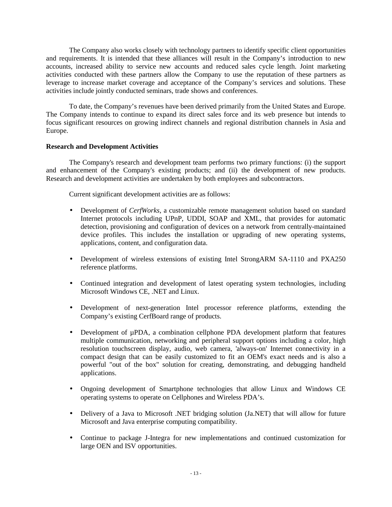The Company also works closely with technology partners to identify specific client opportunities and requirements. It is intended that these alliances will result in the Company's introduction to new accounts, increased ability to service new accounts and reduced sales cycle length. Joint marketing activities conducted with these partners allow the Company to use the reputation of these partners as leverage to increase market coverage and acceptance of the Company's services and solutions. These activities include jointly conducted seminars, trade shows and conferences.

To date, the Company's revenues have been derived primarily from the United States and Europe. The Company intends to continue to expand its direct sales force and its web presence but intends to focus significant resources on growing indirect channels and regional distribution channels in Asia and Europe.

# **Research and Development Activities**

The Company's research and development team performs two primary functions: (i) the support and enhancement of the Company's existing products; and (ii) the development of new products. Research and development activities are undertaken by both employees and subcontractors.

Current significant development activities are as follows:

- Development of *CerfWorks*, a customizable remote management solution based on standard Internet protocols including UPnP, UDDI, SOAP and XML, that provides for automatic detection, provisioning and configuration of devices on a network from centrally-maintained device profiles. This includes the installation or upgrading of new operating systems, applications, content, and configuration data.
- Development of wireless extensions of existing Intel StrongARM SA-1110 and PXA250 reference platforms.
- Continued integration and development of latest operating system technologies, including Microsoft Windows CE, .NET and Linux.
- Development of next-generation Intel processor reference platforms, extending the Company's existing CerfBoard range of products.
- Development of  $\mu$ PDA, a combination cellphone PDA development platform that features multiple communication, networking and peripheral support options including a color, high resolution touchscreen display, audio, web camera, 'always-on' Internet connectivity in a compact design that can be easily customized to fit an OEM's exact needs and is also a powerful "out of the box" solution for creating, demonstrating, and debugging handheld applications.
- Ongoing development of Smartphone technologies that allow Linux and Windows CE operating systems to operate on Cellphones and Wireless PDA's.
- Delivery of a Java to Microsoft .NET bridging solution (Ja.NET) that will allow for future Microsoft and Java enterprise computing compatibility.
- Continue to package J-Integra for new implementations and continued customization for large OEN and ISV opportunities.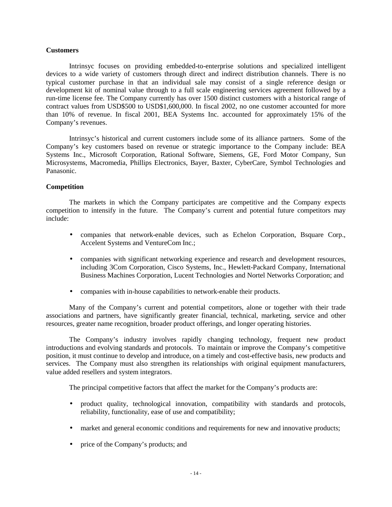#### **Customers**

Intrinsyc focuses on providing embedded-to-enterprise solutions and specialized intelligent devices to a wide variety of customers through direct and indirect distribution channels. There is no typical customer purchase in that an individual sale may consist of a single reference design or development kit of nominal value through to a full scale engineering services agreement followed by a run-time license fee. The Company currently has over 1500 distinct customers with a historical range of contract values from USD\$500 to USD\$1,600,000. In fiscal 2002, no one customer accounted for more than 10% of revenue. In fiscal 2001, BEA Systems Inc. accounted for approximately 15% of the Company's revenues.

Intrinsyc's historical and current customers include some of its alliance partners. Some of the Company's key customers based on revenue or strategic importance to the Company include: BEA Systems Inc., Microsoft Corporation, Rational Software, Siemens, GE, Ford Motor Company, Sun Microsystems, Macromedia, Phillips Electronics, Bayer, Baxter, CyberCare, Symbol Technologies and Panasonic.

#### **Competition**

The markets in which the Company participates are competitive and the Company expects competition to intensify in the future. The Company's current and potential future competitors may include:

- companies that network-enable devices, such as Echelon Corporation, Bsquare Corp., Accelent Systems and VentureCom Inc.;
- companies with significant networking experience and research and development resources, including 3Com Corporation, Cisco Systems, Inc., Hewlett-Packard Company, International Business Machines Corporation, Lucent Technologies and Nortel Networks Corporation; and
- companies with in-house capabilities to network-enable their products.

Many of the Company's current and potential competitors, alone or together with their trade associations and partners, have significantly greater financial, technical, marketing, service and other resources, greater name recognition, broader product offerings, and longer operating histories.

The Company's industry involves rapidly changing technology, frequent new product introductions and evolving standards and protocols. To maintain or improve the Company's competitive position, it must continue to develop and introduce, on a timely and cost-effective basis, new products and services. The Company must also strengthen its relationships with original equipment manufacturers, value added resellers and system integrators.

The principal competitive factors that affect the market for the Company's products are:

- product quality, technological innovation, compatibility with standards and protocols, reliability, functionality, ease of use and compatibility;
- market and general economic conditions and requirements for new and innovative products;
- price of the Company's products; and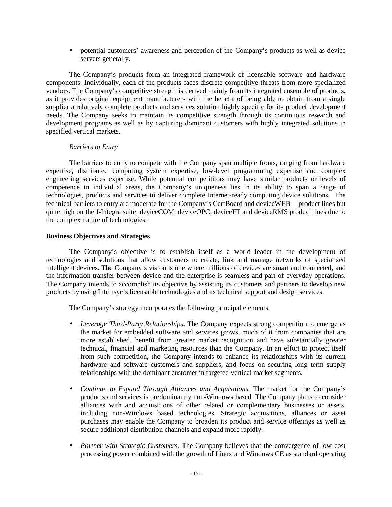• potential customers' awareness and perception of the Company's products as well as device servers generally.

The Company's products form an integrated framework of licensable software and hardware components. Individually, each of the products faces discrete competitive threats from more specialized vendors. The Company's competitive strength is derived mainly from its integrated ensemble of products, as it provides original equipment manufacturers with the benefit of being able to obtain from a single supplier a relatively complete products and services solution highly specific for its product development needs. The Company seeks to maintain its competitive strength through its continuous research and development programs as well as by capturing dominant customers with highly integrated solutions in specified vertical markets.

# *Barriers to Entry*

The barriers to entry to compete with the Company span multiple fronts, ranging from hardware expertise, distributed computing system expertise, low-level programming expertise and complex engineering services expertise. While potential competititors may have similar products or levels of competence in individual areas, the Company's uniqueness lies in its ability to span a range of technologies, products and services to deliver complete Internet-ready computing device solutions. The technical barriers to entry are moderate for the Company's CerfBoard and deviceWEB™ product lines but quite high on the J-Integra suite, deviceCOM, deviceOPC, deviceFT and deviceRMS product lines due to the complex nature of technologies.

# **Business Objectives and Strategies**

The Company's objective is to establish itself as a world leader in the development of technologies and solutions that allow customers to create, link and manage networks of specialized intelligent devices. The Company's vision is one where millions of devices are smart and connected, and the information transfer between device and the enterprise is seamless and part of everyday operations. The Company intends to accomplish its objective by assisting its customers and partners to develop new products by using Intrinsyc's licensable technologies and its technical support and design services.

The Company's strategy incorporates the following principal elements:

- *Leverage Third-Party Relationships.* The Company expects strong competition to emerge as the market for embedded software and services grows, much of it from companies that are more established, benefit from greater market recognition and have substantially greater technical, financial and marketing resources than the Company. In an effort to protect itself from such competition, the Company intends to enhance its relationships with its current hardware and software customers and suppliers, and focus on securing long term supply relationships with the dominant customer in targeted vertical market segments.
- *Continue to Expand Through Alliances and Acquisitions.* The market for the Company's products and services is predominantly non-Windows based. The Company plans to consider alliances with and acquisitions of other related or complementary businesses or assets, including non-Windows based technologies. Strategic acquisitions, alliances or asset purchases may enable the Company to broaden its product and service offerings as well as secure additional distribution channels and expand more rapidly.
- *Partner with Strategic Customers*. The Company believes that the convergence of low cost processing power combined with the growth of Linux and Windows CE as standard operating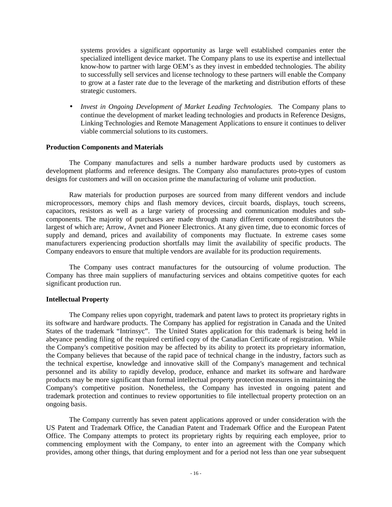systems provides a significant opportunity as large well established companies enter the specialized intelligent device market. The Company plans to use its expertise and intellectual know-how to partner with large OEM's as they invest in embedded technologies. The ability to successfully sell services and license technology to these partners will enable the Company to grow at a faster rate due to the leverage of the marketing and distribution efforts of these strategic customers.

• *Invest in Ongoing Development of Market Leading Technologies.* The Company plans to continue the development of market leading technologies and products in Reference Designs, Linking Technologies and Remote Management Applications to ensure it continues to deliver viable commercial solutions to its customers.

#### **Production Components and Materials**

The Company manufactures and sells a number hardware products used by customers as development platforms and reference designs. The Company also manufactures proto-types of custom designs for customers and will on occasion prime the manufacturing of volume unit production.

Raw materials for production purposes are sourced from many different vendors and include microprocessors, memory chips and flash memory devices, circuit boards, displays, touch screens, capacitors, resistors as well as a large variety of processing and communication modules and subcomponents. The majority of purchases are made through many different component distributors the largest of which are; Arrow, Avnet and Pioneer Electronics. At any given time, due to economic forces of supply and demand, prices and availability of components may fluctuate. In extreme cases some manufacturers experiencing production shortfalls may limit the availability of specific products. The Company endeavors to ensure that multiple vendors are available for its production requirements.

The Company uses contract manufactures for the outsourcing of volume production. The Company has three main suppliers of manufacturing services and obtains competitive quotes for each significant production run.

# **Intellectual Property**

The Company relies upon copyright, trademark and patent laws to protect its proprietary rights in its software and hardware products. The Company has applied for registration in Canada and the United States of the trademark "Intrinsyc". The United States application for this trademark is being held in abeyance pending filing of the required certified copy of the Canadian Certificate of registration. While the Company's competitive position may be affected by its ability to protect its proprietary information, the Company believes that because of the rapid pace of technical change in the industry, factors such as the technical expertise, knowledge and innovative skill of the Company's management and technical personnel and its ability to rapidly develop, produce, enhance and market its software and hardware products may be more significant than formal intellectual property protection measures in maintaining the Company's competitive position. Nonetheless, the Company has invested in ongoing patent and trademark protection and continues to review opportunities to file intellectual property protection on an ongoing basis.

The Company currently has seven patent applications approved or under consideration with the US Patent and Trademark Office, the Canadian Patent and Trademark Office and the European Patent Office. The Company attempts to protect its proprietary rights by requiring each employee, prior to commencing employment with the Company, to enter into an agreement with the Company which provides, among other things, that during employment and for a period not less than one year subsequent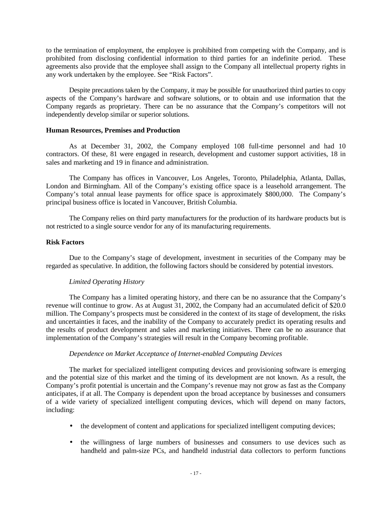to the termination of employment, the employee is prohibited from competing with the Company, and is prohibited from disclosing confidential information to third parties for an indefinite period. These agreements also provide that the employee shall assign to the Company all intellectual property rights in any work undertaken by the employee. See "Risk Factors".

Despite precautions taken by the Company, it may be possible for unauthorized third parties to copy aspects of the Company's hardware and software solutions, or to obtain and use information that the Company regards as proprietary. There can be no assurance that the Company's competitors will not independently develop similar or superior solutions.

#### **Human Resources, Premises and Production**

As at December 31, 2002, the Company employed 108 full-time personnel and had 10 contractors. Of these, 81 were engaged in research, development and customer support activities, 18 in sales and marketing and 19 in finance and administration.

The Company has offices in Vancouver, Los Angeles, Toronto, Philadelphia, Atlanta, Dallas, London and Birmingham. All of the Company's existing office space is a leasehold arrangement. The Company's total annual lease payments for office space is approximately \$800,000. The Company's principal business office is located in Vancouver, British Columbia.

The Company relies on third party manufacturers for the production of its hardware products but is not restricted to a single source vendor for any of its manufacturing requirements.

#### **Risk Factors**

Due to the Company's stage of development, investment in securities of the Company may be regarded as speculative. In addition, the following factors should be considered by potential investors.

# *Limited Operating History*

The Company has a limited operating history, and there can be no assurance that the Company's revenue will continue to grow. As at August 31, 2002, the Company had an accumulated deficit of \$20.0 million. The Company's prospects must be considered in the context of its stage of development, the risks and uncertainties it faces, and the inability of the Company to accurately predict its operating results and the results of product development and sales and marketing initiatives. There can be no assurance that implementation of the Company's strategies will result in the Company becoming profitable.

# *Dependence on Market Acceptance of Internet-enabled Computing Devices*

The market for specialized intelligent computing devices and provisioning software is emerging and the potential size of this market and the timing of its development are not known. As a result, the Company's profit potential is uncertain and the Company's revenue may not grow as fast as the Company anticipates, if at all. The Company is dependent upon the broad acceptance by businesses and consumers of a wide variety of specialized intelligent computing devices, which will depend on many factors, including:

- the development of content and applications for specialized intelligent computing devices;
- the willingness of large numbers of businesses and consumers to use devices such as handheld and palm-size PCs, and handheld industrial data collectors to perform functions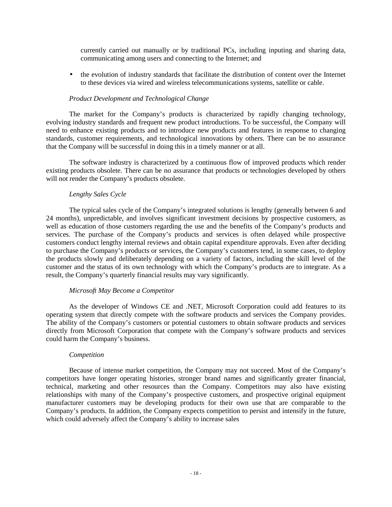currently carried out manually or by traditional PCs, including inputing and sharing data, communicating among users and connecting to the Internet; and

• the evolution of industry standards that facilitate the distribution of content over the Internet to these devices via wired and wireless telecommunications systems, satellite or cable.

# *Product Development and Technological Change*

The market for the Company's products is characterized by rapidly changing technology, evolving industry standards and frequent new product introductions. To be successful, the Company will need to enhance existing products and to introduce new products and features in response to changing standards, customer requirements, and technological innovations by others. There can be no assurance that the Company will be successful in doing this in a timely manner or at all.

The software industry is characterized by a continuous flow of improved products which render existing products obsolete. There can be no assurance that products or technologies developed by others will not render the Company's products obsolete.

#### *Lengthy Sales Cycle*

The typical sales cycle of the Company's integrated solutions is lengthy (generally between 6 and 24 months), unpredictable, and involves significant investment decisions by prospective customers, as well as education of those customers regarding the use and the benefits of the Company's products and services. The purchase of the Company's products and services is often delayed while prospective customers conduct lengthy internal reviews and obtain capital expenditure approvals. Even after deciding to purchase the Company's products or services, the Company's customers tend, in some cases, to deploy the products slowly and deliberately depending on a variety of factors, including the skill level of the customer and the status of its own technology with which the Company's products are to integrate. As a result, the Company's quarterly financial results may vary significantly.

# *Microsoft May Become a Competitor*

As the developer of Windows CE and .NET, Microsoft Corporation could add features to its operating system that directly compete with the software products and services the Company provides. The ability of the Company's customers or potential customers to obtain software products and services directly from Microsoft Corporation that compete with the Company's software products and services could harm the Company's business.

#### *Competition*

Because of intense market competition, the Company may not succeed. Most of the Company's competitors have longer operating histories, stronger brand names and significantly greater financial, technical, marketing and other resources than the Company. Competitors may also have existing relationships with many of the Company's prospective customers, and prospective original equipment manufacturer customers may be developing products for their own use that are comparable to the Company's products. In addition, the Company expects competition to persist and intensify in the future, which could adversely affect the Company's ability to increase sales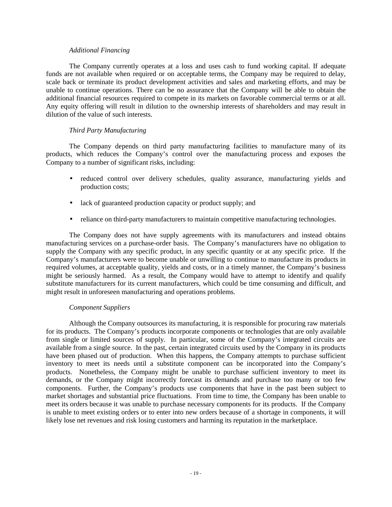#### *Additional Financing*

The Company currently operates at a loss and uses cash to fund working capital. If adequate funds are not available when required or on acceptable terms, the Company may be required to delay, scale back or terminate its product development activities and sales and marketing efforts, and may be unable to continue operations. There can be no assurance that the Company will be able to obtain the additional financial resources required to compete in its markets on favorable commercial terms or at all. Any equity offering will result in dilution to the ownership interests of shareholders and may result in dilution of the value of such interests.

# *Third Party Manufacturing*

The Company depends on third party manufacturing facilities to manufacture many of its products, which reduces the Company's control over the manufacturing process and exposes the Company to a number of significant risks, including:

- reduced control over delivery schedules, quality assurance, manufacturing yields and production costs;
- lack of guaranteed production capacity or product supply; and
- reliance on third-party manufacturers to maintain competitive manufacturing technologies.

The Company does not have supply agreements with its manufacturers and instead obtains manufacturing services on a purchase-order basis. The Company's manufacturers have no obligation to supply the Company with any specific product, in any specific quantity or at any specific price. If the Company's manufacturers were to become unable or unwilling to continue to manufacture its products in required volumes, at acceptable quality, yields and costs, or in a timely manner, the Company's business might be seriously harmed. As a result, the Company would have to attempt to identify and qualify substitute manufacturers for its current manufacturers, which could be time consuming and difficult, and might result in unforeseen manufacturing and operations problems.

# *Component Suppliers*

Although the Company outsources its manufacturing, it is responsible for procuring raw materials for its products. The Company's products incorporate components or technologies that are only available from single or limited sources of supply. In particular, some of the Company's integrated circuits are available from a single source. In the past, certain integrated circuits used by the Company in its products have been phased out of production. When this happens, the Company attempts to purchase sufficient inventory to meet its needs until a substitute component can be incorporated into the Company's products. Nonetheless, the Company might be unable to purchase sufficient inventory to meet its demands, or the Company might incorrectly forecast its demands and purchase too many or too few components. Further, the Company's products use components that have in the past been subject to market shortages and substantial price fluctuations. From time to time, the Company has been unable to meet its orders because it was unable to purchase necessary components for its products. If the Company is unable to meet existing orders or to enter into new orders because of a shortage in components, it will likely lose net revenues and risk losing customers and harming its reputation in the marketplace.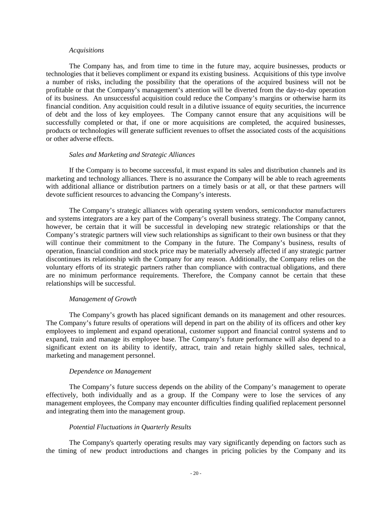#### *Acquisitions*

The Company has, and from time to time in the future may, acquire businesses, products or technologies that it believes compliment or expand its existing business. Acquisitions of this type involve a number of risks, including the possibility that the operations of the acquired business will not be profitable or that the Company's management's attention will be diverted from the day-to-day operation of its business. An unsuccessful acquisition could reduce the Company's margins or otherwise harm its financial condition. Any acquisition could result in a dilutive issuance of equity securities, the incurrence of debt and the loss of key employees. The Company cannot ensure that any acquisitions will be successfully completed or that, if one or more acquisitions are completed, the acquired businesses, products or technologies will generate sufficient revenues to offset the associated costs of the acquisitions or other adverse effects.

#### *Sales and Marketing and Strategic Alliances*

If the Company is to become successful, it must expand its sales and distribution channels and its marketing and technology alliances. There is no assurance the Company will be able to reach agreements with additional alliance or distribution partners on a timely basis or at all, or that these partners will devote sufficient resources to advancing the Company's interests.

The Company's strategic alliances with operating system vendors, semiconductor manufacturers and systems integrators are a key part of the Company's overall business strategy. The Company cannot, however, be certain that it will be successful in developing new strategic relationships or that the Company's strategic partners will view such relationships as significant to their own business or that they will continue their commitment to the Company in the future. The Company's business, results of operation, financial condition and stock price may be materially adversely affected if any strategic partner discontinues its relationship with the Company for any reason. Additionally, the Company relies on the voluntary efforts of its strategic partners rather than compliance with contractual obligations, and there are no minimum performance requirements. Therefore, the Company cannot be certain that these relationships will be successful.

#### *Management of Growth*

The Company's growth has placed significant demands on its management and other resources. The Company's future results of operations will depend in part on the ability of its officers and other key employees to implement and expand operational, customer support and financial control systems and to expand, train and manage its employee base. The Company's future performance will also depend to a significant extent on its ability to identify, attract, train and retain highly skilled sales, technical, marketing and management personnel.

#### *Dependence on Management*

The Company's future success depends on the ability of the Company's management to operate effectively, both individually and as a group. If the Company were to lose the services of any management employees, the Company may encounter difficulties finding qualified replacement personnel and integrating them into the management group.

#### *Potential Fluctuations in Quarterly Results*

The Company's quarterly operating results may vary significantly depending on factors such as the timing of new product introductions and changes in pricing policies by the Company and its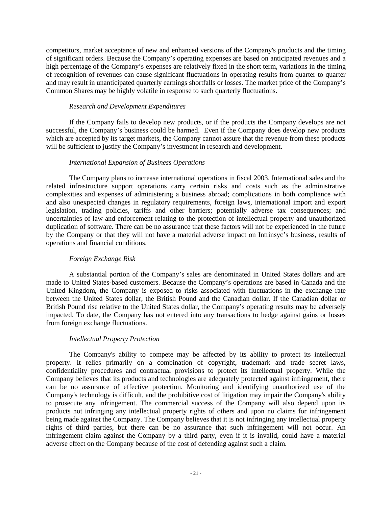competitors, market acceptance of new and enhanced versions of the Company's products and the timing of significant orders. Because the Company's operating expenses are based on anticipated revenues and a high percentage of the Company's expenses are relatively fixed in the short term, variations in the timing of recognition of revenues can cause significant fluctuations in operating results from quarter to quarter and may result in unanticipated quarterly earnings shortfalls or losses. The market price of the Company's Common Shares may be highly volatile in response to such quarterly fluctuations.

#### *Research and Development Expenditures*

If the Company fails to develop new products, or if the products the Company develops are not successful, the Company's business could be harmed. Even if the Company does develop new products which are accepted by its target markets, the Company cannot assure that the revenue from these products will be sufficient to justify the Company's investment in research and development.

# *International Expansion of Business Operations*

The Company plans to increase international operations in fiscal 2003. International sales and the related infrastructure support operations carry certain risks and costs such as the administrative complexities and expenses of administering a business abroad; complications in both compliance with and also unexpected changes in regulatory requirements, foreign laws, international import and export legislation, trading policies, tariffs and other barriers; potentially adverse tax consequences; and uncertainties of law and enforcement relating to the protection of intellectual property and unauthorized duplication of software. There can be no assurance that these factors will not be experienced in the future by the Company or that they will not have a material adverse impact on Intrinsyc's business, results of operations and financial conditions.

# *Foreign Exchange Risk*

A substantial portion of the Company's sales are denominated in United States dollars and are made to United States-based customers. Because the Company's operations are based in Canada and the United Kingdom, the Company is exposed to risks associated with fluctuations in the exchange rate between the United States dollar, the British Pound and the Canadian dollar. If the Canadian dollar or British Pound rise relative to the United States dollar, the Company's operating results may be adversely impacted. To date, the Company has not entered into any transactions to hedge against gains or losses from foreign exchange fluctuations.

# *Intellectual Property Protection*

The Company's ability to compete may be affected by its ability to protect its intellectual property. It relies primarily on a combination of copyright, trademark and trade secret laws, confidentiality procedures and contractual provisions to protect its intellectual property. While the Company believes that its products and technologies are adequately protected against infringement, there can be no assurance of effective protection. Monitoring and identifying unauthorized use of the Company's technology is difficult, and the prohibitive cost of litigation may impair the Company's ability to prosecute any infringement. The commercial success of the Company will also depend upon its products not infringing any intellectual property rights of others and upon no claims for infringement being made against the Company. The Company believes that it is not infringing any intellectual property rights of third parties, but there can be no assurance that such infringement will not occur. An infringement claim against the Company by a third party, even if it is invalid, could have a material adverse effect on the Company because of the cost of defending against such a claim.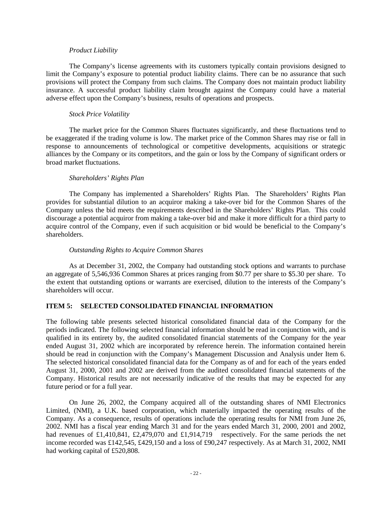#### *Product Liability*

The Company's license agreements with its customers typically contain provisions designed to limit the Company's exposure to potential product liability claims. There can be no assurance that such provisions will protect the Company from such claims. The Company does not maintain product liability insurance. A successful product liability claim brought against the Company could have a material adverse effect upon the Company's business, results of operations and prospects.

# *Stock Price Volatility*

The market price for the Common Shares fluctuates significantly, and these fluctuations tend to be exaggerated if the trading volume is low. The market price of the Common Shares may rise or fall in response to announcements of technological or competitive developments, acquisitions or strategic alliances by the Company or its competitors, and the gain or loss by the Company of significant orders or broad market fluctuations.

# *Shareholders' Rights Plan*

The Company has implemented a Shareholders' Rights Plan. The Shareholders' Rights Plan provides for substantial dilution to an acquiror making a take-over bid for the Common Shares of the Company unless the bid meets the requirements described in the Shareholders' Rights Plan. This could discourage a potential acquiror from making a take-over bid and make it more difficult for a third party to acquire control of the Company, even if such acquisition or bid would be beneficial to the Company's shareholders.

# *Outstanding Rights to Acquire Common Shares*

As at December 31, 2002, the Company had outstanding stock options and warrants to purchase an aggregate of 5,546,936 Common Shares at prices ranging from \$0.77 per share to \$5.30 per share. To the extent that outstanding options or warrants are exercised, dilution to the interests of the Company's shareholders will occur.

# **ITEM 5: SELECTED CONSOLIDATED FINANCIAL INFORMATION**

The following table presents selected historical consolidated financial data of the Company for the periods indicated. The following selected financial information should be read in conjunction with, and is qualified in its entirety by, the audited consolidated financial statements of the Company for the year ended August 31, 2002 which are incorporated by reference herein. The information contained herein should be read in conjunction with the Company's Management Discussion and Analysis under Item 6. The selected historical consolidated financial data for the Company as of and for each of the years ended August 31, 2000, 2001 and 2002 are derived from the audited consolidated financial statements of the Company. Historical results are not necessarily indicative of the results that may be expected for any future period or for a full year.

On June 26, 2002, the Company acquired all of the outstanding shares of NMI Electronics Limited, (NMI), a U.K. based corporation, which materially impacted the operating results of the Company. As a consequence, results of operations include the operating results for NMI from June 26, 2002. NMI has a fiscal year ending March 31 and for the years ended March 31, 2000, 2001 and 2002, had revenues of £1,410,841, £2,479,070 and £1,914,719 respectively. For the same periods the net income recorded was £142,545, £429,150 and a loss of £90,247 respectively. As at March 31, 2002, NMI had working capital of £520,808.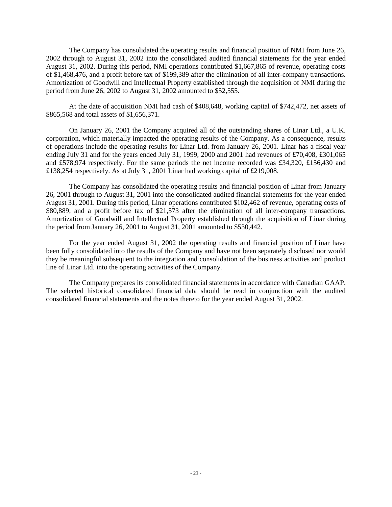The Company has consolidated the operating results and financial position of NMI from June 26, 2002 through to August 31, 2002 into the consolidated audited financial statements for the year ended August 31, 2002. During this period, NMI operations contributed \$1,667,865 of revenue, operating costs of \$1,468,476, and a profit before tax of \$199,389 after the elimination of all inter-company transactions. Amortization of Goodwill and Intellectual Property established through the acquisition of NMI during the period from June 26, 2002 to August 31, 2002 amounted to \$52,555.

At the date of acquisition NMI had cash of \$408,648, working capital of \$742,472, net assets of \$865,568 and total assets of \$1,656,371.

On January 26, 2001 the Company acquired all of the outstanding shares of Linar Ltd., a U.K. corporation, which materially impacted the operating results of the Company. As a consequence, results of operations include the operating results for Linar Ltd. from January 26, 2001. Linar has a fiscal year ending July 31 and for the years ended July 31, 1999, 2000 and 2001 had revenues of £70,408, £301,065 and £578,974 respectively. For the same periods the net income recorded was £34,320, £156,430 and £138,254 respectively. As at July 31, 2001 Linar had working capital of £219,008.

The Company has consolidated the operating results and financial position of Linar from January 26, 2001 through to August 31, 2001 into the consolidated audited financial statements for the year ended August 31, 2001. During this period, Linar operations contributed \$102,462 of revenue, operating costs of \$80,889, and a profit before tax of \$21,573 after the elimination of all inter-company transactions. Amortization of Goodwill and Intellectual Property established through the acquisition of Linar during the period from January 26, 2001 to August 31, 2001 amounted to \$530,442.

For the year ended August 31, 2002 the operating results and financial position of Linar have been fully consolidated into the results of the Company and have not been separately disclosed nor would they be meaningful subsequent to the integration and consolidation of the business activities and product line of Linar Ltd. into the operating activities of the Company.

The Company prepares its consolidated financial statements in accordance with Canadian GAAP. The selected historical consolidated financial data should be read in conjunction with the audited consolidated financial statements and the notes thereto for the year ended August 31, 2002.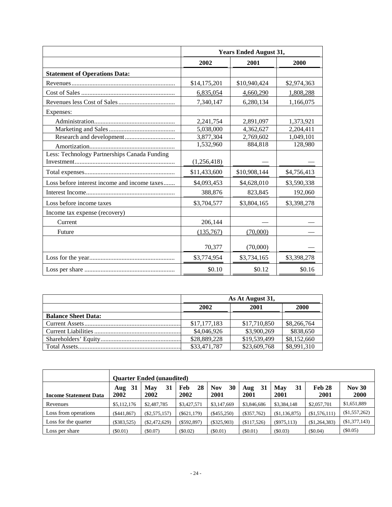|                                              | <b>Years Ended August 31,</b> |              |             |
|----------------------------------------------|-------------------------------|--------------|-------------|
|                                              | 2002                          | 2001         | 2000        |
| <b>Statement of Operations Data:</b>         |                               |              |             |
|                                              | \$14,175,201                  | \$10,940,424 | \$2,974,363 |
|                                              | 6,835,054                     | 4,660,290    | 1,808,288   |
|                                              | 7,340,147                     | 6,280,134    | 1,166,075   |
| Expenses:                                    |                               |              |             |
|                                              | 2,241,754                     | 2,891,097    | 1,373,921   |
|                                              | 5,038,000                     | 4,362,627    | 2,204,411   |
|                                              | 3,877,304                     | 2,769,602    | 1,049,101   |
|                                              | 1,532,960                     | 884,818      | 128,980     |
| Less: Technology Partnerships Canada Funding |                               |              |             |
|                                              | (1,256,418)                   |              |             |
|                                              | \$11,433,600                  | \$10,908,144 | \$4,756,413 |
| Loss before interest income and income taxes | \$4,093,453                   | \$4,628,010  | \$3,590,338 |
|                                              | 388,876                       | 823,845      | 192,060     |
| Loss before income taxes                     | \$3,704,577                   | \$3,804,165  | \$3,398,278 |
| Income tax expense (recovery)                |                               |              |             |
| Current                                      | 206,144                       |              |             |
| Future                                       | (135,767)                     | (70,000)     |             |
|                                              | 70,377                        | (70,000)     |             |
|                                              | \$3,774,954                   | \$3,734,165  | \$3,398,278 |
|                                              | \$0.10                        | \$0.12       | \$0.16      |

|                            | As At August 31, |              |             |  |
|----------------------------|------------------|--------------|-------------|--|
|                            | 2002             | 2001         | <b>2000</b> |  |
| <b>Balance Sheet Data:</b> |                  |              |             |  |
|                            | \$17,177,183     | \$17,710,850 | \$8,266,764 |  |
|                            | \$4,046,926      | \$3,900,269  | \$838,650   |  |
|                            | \$28,889,228     | \$19,539,499 | \$8,152,660 |  |
|                            | \$33,471,787     | \$23,609,768 | \$8,991,310 |  |

|                              | <b>Quarter Ended (unaudited)</b> |                   |                   |                          |                   |                   |                       |                       |
|------------------------------|----------------------------------|-------------------|-------------------|--------------------------|-------------------|-------------------|-----------------------|-----------------------|
| <b>Income Statement Data</b> | -31<br>Aug<br>2002               | 31<br>May<br>2002 | 28<br>Feb<br>2002 | 30<br><b>Nov</b><br>2001 | 31<br>Aug<br>2001 | 31<br>May<br>2001 | <b>Feb 28</b><br>2001 | <b>Nov 30</b><br>2000 |
| Revenues                     | \$5,112,176                      | \$2,487,785       | \$3,427,571       | \$3,147,669              | \$3,846,686       | \$3,384,148       | \$2,057,701           | \$1,651,889           |
| Loss from operations         | $(\$441,867)$                    | $(\$2,575,157)$   | $(\$621,179)$     | $(\$455,250)$            | $(\$357,762)$     | $(\$1,136,875)$   | (\$1,576,111)         | (\$1,557,262)         |
| Loss for the quarter         | $(\$383,525)$                    | $(\$2,472,629)$   | $(\$592,897)$     | $(\$325,903)$            | (\$117,526)       | $(\$975,113)$     | (\$1,264,383)         | (\$1,377,143)         |
| Loss per share               | (S0.01)                          | (\$0.07)          | (\$0.02)          | (S0.01)                  | (\$0.01)          | (\$0.03)          | $(\$0.04)$            | $(\$0.05)$            |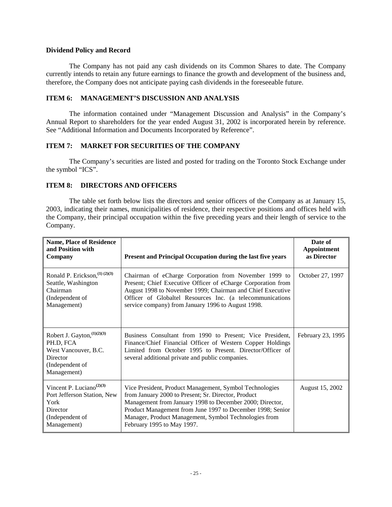# **Dividend Policy and Record**

The Company has not paid any cash dividends on its Common Shares to date. The Company currently intends to retain any future earnings to finance the growth and development of the business and, therefore, the Company does not anticipate paying cash dividends in the foreseeable future.

#### **ITEM 6: MANAGEMENT'S DISCUSSION AND ANALYSIS**

The information contained under "Management Discussion and Analysis" in the Company's Annual Report to shareholders for the year ended August 31, 2002 is incorporated herein by reference. See "Additional Information and Documents Incorporated by Reference".

# **ITEM 7: MARKET FOR SECURITIES OF THE COMPANY**

The Company's securities are listed and posted for trading on the Toronto Stock Exchange under the symbol "ICS".

# **ITEM 8: DIRECTORS AND OFFICERS**

The table set forth below lists the directors and senior officers of the Company as at January 15, 2003, indicating their names, municipalities of residence, their respective positions and offices held with the Company, their principal occupation within the five preceding years and their length of service to the Company.

| <b>Name, Place of Residence</b><br>and Position with<br>Company                                                                        | Present and Principal Occupation during the last five years                                                                                                                                                                                                                                                                     | Date of<br><b>Appointment</b><br>as Director |
|----------------------------------------------------------------------------------------------------------------------------------------|---------------------------------------------------------------------------------------------------------------------------------------------------------------------------------------------------------------------------------------------------------------------------------------------------------------------------------|----------------------------------------------|
| Ronald P. Erickson, (1) (2)(3)<br>Seattle, Washington<br>Chairman<br>(Independent of<br>Management)                                    | Chairman of eCharge Corporation from November 1999 to<br>Present; Chief Executive Officer of eCharge Corporation from<br>August 1998 to November 1999; Chairman and Chief Executive<br>Officer of Globaltel Resources Inc. (a telecommunications<br>service company) from January 1996 to August 1998.                          | October 27, 1997                             |
| Robert J. Gayton, (1)(2)(3)<br>PH.D, FCA<br>West Vancouver, B.C.<br>Director<br>(Independent of<br>Management)                         | Business Consultant from 1990 to Present; Vice President,<br>Finance/Chief Financial Officer of Western Copper Holdings<br>Limited from October 1995 to Present. Director/Officer of<br>several additional private and public companies.                                                                                        | February 23, 1995                            |
| Vincent P. Luciano <sup><math>(2)(3)</math></sup><br>Port Jefferson Station, New<br>York<br>Director<br>(Independent of<br>Management) | Vice President, Product Management, Symbol Technologies<br>from January 2000 to Present; Sr. Director, Product<br>Management from January 1998 to December 2000; Director,<br>Product Management from June 1997 to December 1998; Senior<br>Manager, Product Management, Symbol Technologies from<br>February 1995 to May 1997. | August 15, 2002                              |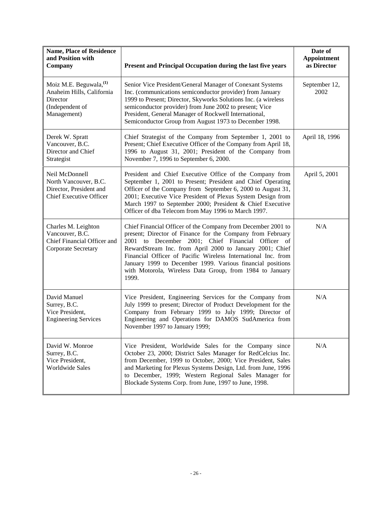| Name, Place of Residence<br>and Position with<br>Company                                                      | Present and Principal Occupation during the last five years                                                                                                                                                                                                                                                                                                                                                                                     | Date of<br><b>Appointment</b><br>as Director |
|---------------------------------------------------------------------------------------------------------------|-------------------------------------------------------------------------------------------------------------------------------------------------------------------------------------------------------------------------------------------------------------------------------------------------------------------------------------------------------------------------------------------------------------------------------------------------|----------------------------------------------|
| Moiz M.E. Beguwala, <sup>(1)</sup><br>Anaheim Hills, California<br>Director<br>(Independent of<br>Management) | Senior Vice President/General Manager of Conexant Systems<br>Inc. (communications semiconductor provider) from January<br>1999 to Present; Director, Skyworks Solutions Inc. (a wireless<br>semiconductor provider) from June 2002 to present; Vice<br>President, General Manager of Rockwell International,<br>Semiconductor Group from August 1973 to December 1998.                                                                          | September 12,<br>2002                        |
| Derek W. Spratt<br>Vancouver, B.C.<br>Director and Chief<br>Strategist                                        | Chief Strategist of the Company from September 1, 2001 to<br>Present; Chief Executive Officer of the Company from April 18,<br>1996 to August 31, 2001; President of the Company from<br>November 7, 1996 to September 6, 2000.                                                                                                                                                                                                                 | April 18, 1996                               |
| Neil McDonnell<br>North Vancouver, B.C.<br>Director, President and<br><b>Chief Executive Officer</b>          | President and Chief Executive Office of the Company from<br>September 1, 2001 to Present; President and Chief Operating<br>Officer of the Company from September 6, 2000 to August 31,<br>2001; Executive Vice President of Plexus System Design from<br>March 1997 to September 2000; President & Chief Executive<br>Officer of dba Telecom from May 1996 to March 1997.                                                                       | April 5, 2001                                |
| Charles M. Leighton<br>Vancouver, B.C.<br>Chief Financial Officer and<br>Corporate Secretary                  | Chief Financial Officer of the Company from December 2001 to<br>present; Director of Finance for the Company from February<br>2001 to December 2001; Chief Financial Officer of<br>RewardStream Inc. from April 2000 to January 2001; Chief<br>Financial Officer of Pacific Wireless International Inc. from<br>January 1999 to December 1999. Various financial positions<br>with Motorola, Wireless Data Group, from 1984 to January<br>1999. | N/A                                          |
| David Manuel<br>Surrey, B.C.<br>Vice President,<br><b>Engineering Services</b>                                | Vice President, Engineering Services for the Company from<br>July 1999 to present; Director of Product Development for the<br>Company from February 1999 to July 1999; Director of<br>Engineering and Operations for DAMOS SudAmerica from<br>November 1997 to January 1999;                                                                                                                                                                    | N/A                                          |
| David W. Monroe<br>Surrey, B.C.<br>Vice President,<br><b>Worldwide Sales</b>                                  | Vice President, Worldwide Sales for the Company since<br>October 23, 2000; District Sales Manager for RedCelcius Inc.<br>from December, 1999 to October, 2000; Vice President, Sales<br>and Marketing for Plexus Systems Design, Ltd. from June, 1996<br>to December, 1999; Western Regional Sales Manager for<br>Blockade Systems Corp. from June, 1997 to June, 1998.                                                                         | N/A                                          |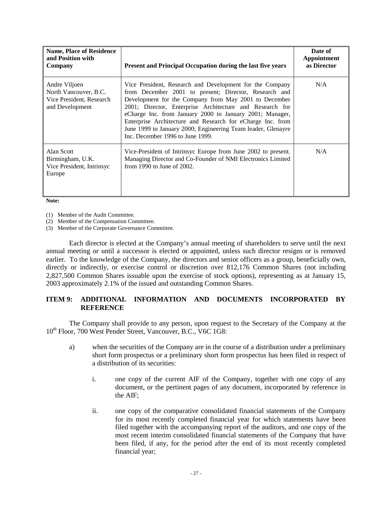| <b>Name, Place of Residence</b><br>and Position with<br>Company                       | Present and Principal Occupation during the last five years                                                                                                                                                                                                                                                                                                                                                                                                          | Date of<br>Appointment<br>as Director |
|---------------------------------------------------------------------------------------|----------------------------------------------------------------------------------------------------------------------------------------------------------------------------------------------------------------------------------------------------------------------------------------------------------------------------------------------------------------------------------------------------------------------------------------------------------------------|---------------------------------------|
| Andre Viljoen<br>North Vancouver, B.C.<br>Vice President, Research<br>and Development | Vice President, Research and Development for the Company<br>from December 2001 to present; Director, Research and<br>Development for the Company from May 2001 to December<br>2001; Director, Enterprise Architecture and Research for<br>eCharge Inc. from January 2000 to January 2001; Manager,<br>Enterprise Architecture and Research for eCharge Inc. from<br>June 1999 to January 2000; Engineering Team leader, Glenayre<br>Inc. December 1996 to June 1999. | N/A                                   |
| Alan Scott<br>Birmingham, U.K.<br>Vice President, Intrinsyc<br>Europe                 | Vice-President of Intrinsyc Europe from June 2002 to present.<br>Managing Director and Co-Founder of NMI Electronics Limited<br>from 1990 to June of $2002$ .                                                                                                                                                                                                                                                                                                        | N/A                                   |

**Note:**

(1) Member of the Audit Committee.

(2) Member of the Compensation Committee.

(3) Member of the Corporate Governance Committee.

Each director is elected at the Company's annual meeting of shareholders to serve until the next annual meeting or until a successor is elected or appointed, unless such director resigns or is removed earlier. To the knowledge of the Company, the directors and senior officers as a group, beneficially own, directly or indirectly, or exercise control or discretion over 812,176 Common Shares (not including 2,827,500 Common Shares issuable upon the exercise of stock options), representing as at January 15, 2003 approximately 2.1% of the issued and outstanding Common Shares.

# **ITEM 9: ADDITIONAL INFORMATION AND DOCUMENTS INCORPORATED BY REFERENCE**

The Company shall provide to any person, upon request to the Secretary of the Company at the 10<sup>th</sup> Floor, 700 West Pender Street, Vancouver, B.C., V6C 1G8:

- a) when the securities of the Company are in the course of a distribution under a preliminary short form prospectus or a preliminary short form prospectus has been filed in respect of a distribution of its securities:
	- i. one copy of the current AIF of the Company, together with one copy of any document, or the pertinent pages of any document, incorporated by reference in the AIF;
	- ii. one copy of the comparative consolidated financial statements of the Company for its most recently completed financial year for which statements have been filed together with the accompanying report of the auditors, and one copy of the most recent interim consolidated financial statements of the Company that have been filed, if any, for the period after the end of its most recently completed financial year;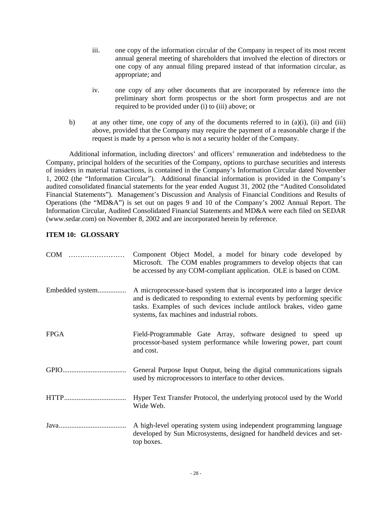- iii. one copy of the information circular of the Company in respect of its most recent annual general meeting of shareholders that involved the election of directors or one copy of any annual filing prepared instead of that information circular, as appropriate; and
- iv. one copy of any other documents that are incorporated by reference into the preliminary short form prospectus or the short form prospectus and are not required to be provided under (i) to (iii) above; or
- b) at any other time, one copy of any of the documents referred to in  $(a)(i)$ ,  $(ii)$  and  $(iii)$ above, provided that the Company may require the payment of a reasonable charge if the request is made by a person who is not a security holder of the Company.

Additional information, including directors' and officers' remuneration and indebtedness to the Company, principal holders of the securities of the Company, options to purchase securities and interests of insiders in material transactions, is contained in the Company's Information Circular dated November 1, 2002 (the "Information Circular"). Additional financial information is provided in the Company's audited consolidated financial statements for the year ended August 31, 2002 (the "Audited Consolidated Financial Statements"). Management's Discussion and Analysis of Financial Conditions and Results of Operations (the "MD&A") is set out on pages 9 and 10 of the Company's 2002 Annual Report. The Information Circular, Audited Consolidated Financial Statements and MD&A were each filed on SEDAR (www.sedar.com) on November 8, 2002 and are incorporated herein by reference.

# **ITEM 10: GLOSSARY**

|                 | Component Object Model, a model for binary code developed by<br>Microsoft. The COM enables programmers to develop objects that can<br>be accessed by any COM-compliant application. OLE is based on COM.                                                                   |
|-----------------|----------------------------------------------------------------------------------------------------------------------------------------------------------------------------------------------------------------------------------------------------------------------------|
| Embedded system | A microprocessor-based system that is incorporated into a larger device<br>and is dedicated to responding to external events by performing specific<br>tasks. Examples of such devices include antilock brakes, video game<br>systems, fax machines and industrial robots. |
| <b>FPGA</b>     | Field-Programmable Gate Array, software designed to speed up<br>processor-based system performance while lowering power, part count<br>and cost.                                                                                                                           |
|                 | General Purpose Input Output, being the digital communications signals<br>used by microprocessors to interface to other devices.                                                                                                                                           |
|                 | Hyper Text Transfer Protocol, the underlying protocol used by the World<br>Wide Web.                                                                                                                                                                                       |
|                 | A high-level operating system using independent programming language<br>developed by Sun Microsystems, designed for handheld devices and set-<br>top boxes.                                                                                                                |